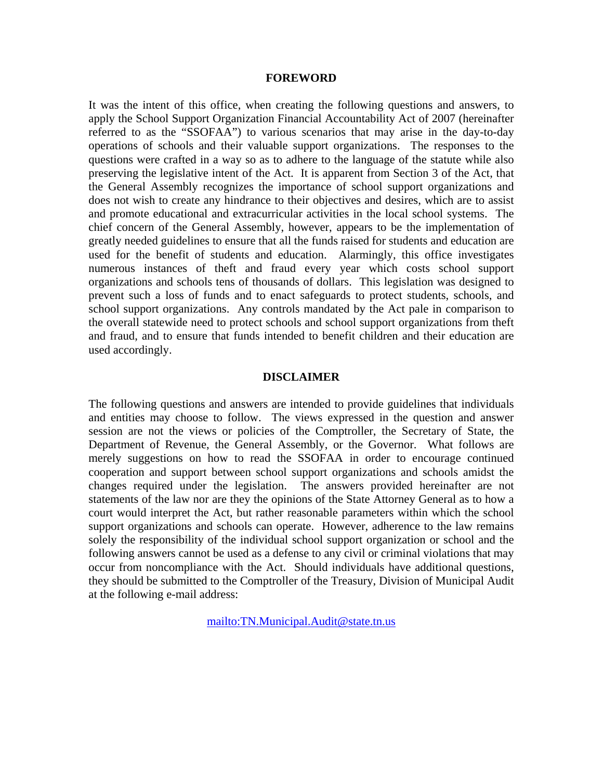#### **FOREWORD**

It was the intent of this office, when creating the following questions and answers, to apply the School Support Organization Financial Accountability Act of 2007 (hereinafter referred to as the "SSOFAA") to various scenarios that may arise in the day-to-day operations of schools and their valuable support organizations. The responses to the questions were crafted in a way so as to adhere to the language of the statute while also preserving the legislative intent of the Act. It is apparent from Section 3 of the Act, that the General Assembly recognizes the importance of school support organizations and does not wish to create any hindrance to their objectives and desires, which are to assist and promote educational and extracurricular activities in the local school systems. The chief concern of the General Assembly, however, appears to be the implementation of greatly needed guidelines to ensure that all the funds raised for students and education are used for the benefit of students and education. Alarmingly, this office investigates numerous instances of theft and fraud every year which costs school support organizations and schools tens of thousands of dollars. This legislation was designed to prevent such a loss of funds and to enact safeguards to protect students, schools, and school support organizations. Any controls mandated by the Act pale in comparison to the overall statewide need to protect schools and school support organizations from theft and fraud, and to ensure that funds intended to benefit children and their education are used accordingly.

#### **DISCLAIMER**

The following questions and answers are intended to provide guidelines that individuals and entities may choose to follow. The views expressed in the question and answer session are not the views or policies of the Comptroller, the Secretary of State, the Department of Revenue, the General Assembly, or the Governor. What follows are merely suggestions on how to read the SSOFAA in order to encourage continued cooperation and support between school support organizations and schools amidst the changes required under the legislation. The answers provided hereinafter are not statements of the law nor are they the opinions of the State Attorney General as to how a court would interpret the Act, but rather reasonable parameters within which the school support organizations and schools can operate. However, adherence to the law remains solely the responsibility of the individual school support organization or school and the following answers cannot be used as a defense to any civil or criminal violations that may occur from noncompliance with the Act. Should individuals have additional questions, they should be submitted to the Comptroller of the Treasury, Division of Municipal Audit at the following e-mail address:

mailto:TN.Municipal.Audit@state.tn.us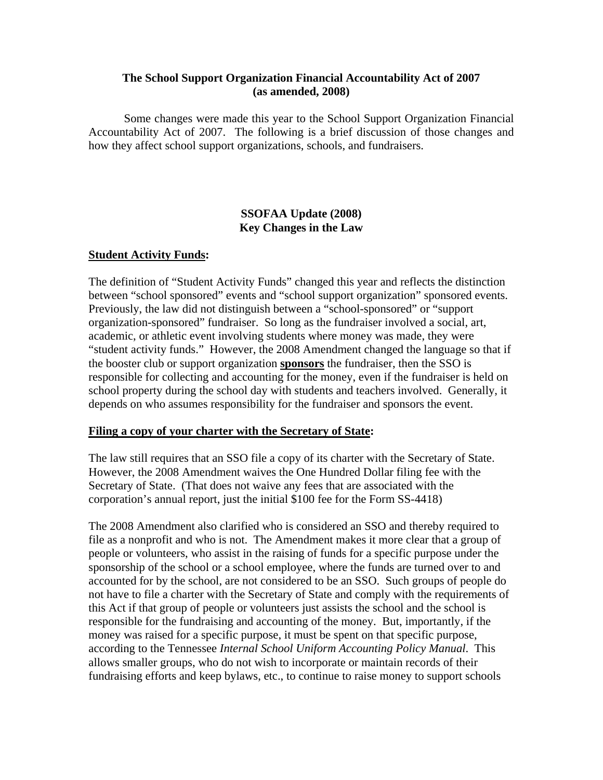### **The School Support Organization Financial Accountability Act of 2007 (as amended, 2008)**

 Some changes were made this year to the School Support Organization Financial Accountability Act of 2007. The following is a brief discussion of those changes and how they affect school support organizations, schools, and fundraisers.

### **SSOFAA Update (2008) Key Changes in the Law**

### **Student Activity Funds:**

The definition of "Student Activity Funds" changed this year and reflects the distinction between "school sponsored" events and "school support organization" sponsored events. Previously, the law did not distinguish between a "school-sponsored" or "support organization-sponsored" fundraiser. So long as the fundraiser involved a social, art, academic, or athletic event involving students where money was made, they were "student activity funds." However, the 2008 Amendment changed the language so that if the booster club or support organization **sponsors** the fundraiser, then the SSO is responsible for collecting and accounting for the money, even if the fundraiser is held on school property during the school day with students and teachers involved. Generally, it depends on who assumes responsibility for the fundraiser and sponsors the event.

#### **Filing a copy of your charter with the Secretary of State:**

The law still requires that an SSO file a copy of its charter with the Secretary of State. However, the 2008 Amendment waives the One Hundred Dollar filing fee with the Secretary of State. (That does not waive any fees that are associated with the corporation's annual report, just the initial \$100 fee for the Form SS-4418)

The 2008 Amendment also clarified who is considered an SSO and thereby required to file as a nonprofit and who is not. The Amendment makes it more clear that a group of people or volunteers, who assist in the raising of funds for a specific purpose under the sponsorship of the school or a school employee, where the funds are turned over to and accounted for by the school, are not considered to be an SSO. Such groups of people do not have to file a charter with the Secretary of State and comply with the requirements of this Act if that group of people or volunteers just assists the school and the school is responsible for the fundraising and accounting of the money. But, importantly, if the money was raised for a specific purpose, it must be spent on that specific purpose, according to the Tennessee *Internal School Uniform Accounting Policy Manual*. This allows smaller groups, who do not wish to incorporate or maintain records of their fundraising efforts and keep bylaws, etc., to continue to raise money to support schools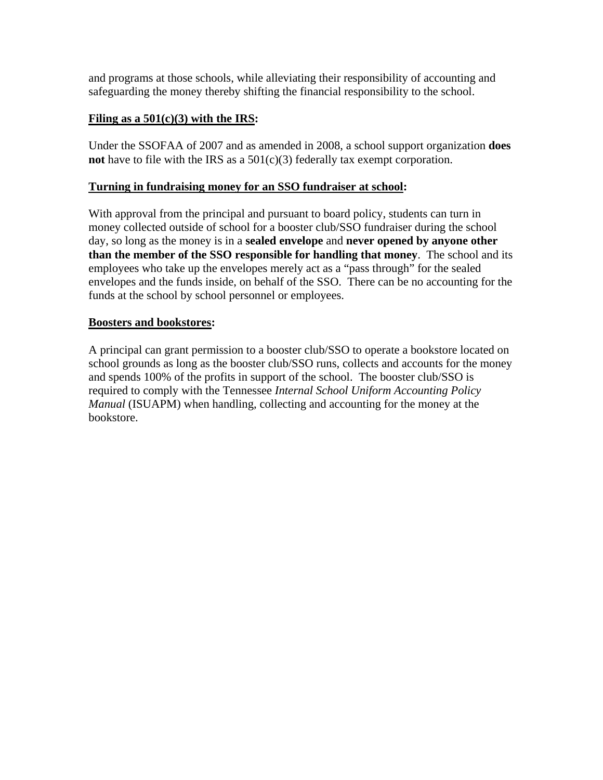and programs at those schools, while alleviating their responsibility of accounting and safeguarding the money thereby shifting the financial responsibility to the school.

# **Filing as a 501(c)(3) with the IRS:**

Under the SSOFAA of 2007 and as amended in 2008, a school support organization **does not** have to file with the IRS as a 501(c)(3) federally tax exempt corporation.

### **Turning in fundraising money for an SSO fundraiser at school:**

With approval from the principal and pursuant to board policy, students can turn in money collected outside of school for a booster club/SSO fundraiser during the school day, so long as the money is in a **sealed envelope** and **never opened by anyone other than the member of the SSO responsible for handling that money**. The school and its employees who take up the envelopes merely act as a "pass through" for the sealed envelopes and the funds inside, on behalf of the SSO. There can be no accounting for the funds at the school by school personnel or employees.

### **Boosters and bookstores:**

A principal can grant permission to a booster club/SSO to operate a bookstore located on school grounds as long as the booster club/SSO runs, collects and accounts for the money and spends 100% of the profits in support of the school. The booster club/SSO is required to comply with the Tennessee *Internal School Uniform Accounting Policy Manual* (ISUAPM) when handling, collecting and accounting for the money at the bookstore.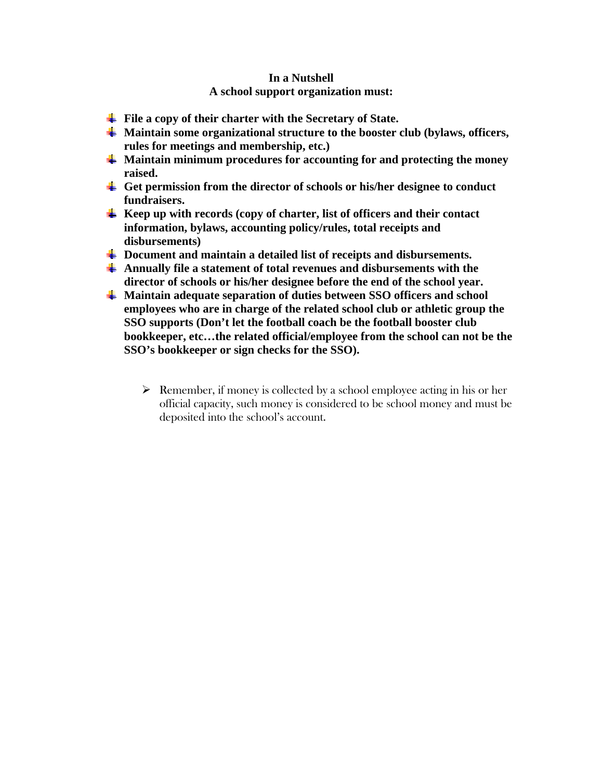# **In a Nutshell A school support organization must:**

- **File a copy of their charter with the Secretary of State.**
- **Maintain some organizational structure to the booster club (bylaws, officers, rules for meetings and membership, etc.)**
- **Maintain minimum procedures for accounting for and protecting the money raised.**
- **Get permission from the director of schools or his/her designee to conduct fundraisers.**
- **Keep up with records (copy of charter, list of officers and their contact information, bylaws, accounting policy/rules, total receipts and disbursements)**
- **Document and maintain a detailed list of receipts and disbursements.**
- **Annually file a statement of total revenues and disbursements with the director of schools or his/her designee before the end of the school year.**
- **Maintain adequate separation of duties between SSO officers and school employees who are in charge of the related school club or athletic group the SSO supports (Don't let the football coach be the football booster club bookkeeper, etc…the related official/employee from the school can not be the SSO's bookkeeper or sign checks for the SSO).**
	- $\triangleright$  Remember, if money is collected by a school employee acting in his or her official capacity, such money is considered to be school money and must be deposited into the school's account.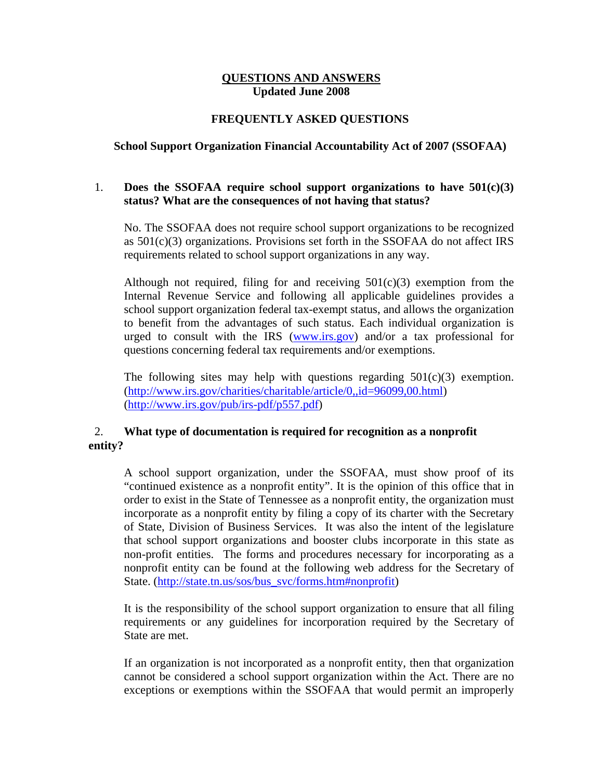### **QUESTIONS AND ANSWERS Updated June 2008**

# **FREQUENTLY ASKED QUESTIONS**

### **School Support Organization Financial Accountability Act of 2007 (SSOFAA)**

# 1. **Does the SSOFAA require school support organizations to have 501(c)(3) status? What are the consequences of not having that status?**

No. The SSOFAA does not require school support organizations to be recognized as  $501(c)(3)$  organizations. Provisions set forth in the SSOFAA do not affect IRS requirements related to school support organizations in any way.

Although not required, filing for and receiving  $501(c)(3)$  exemption from the Internal Revenue Service and following all applicable guidelines provides a school support organization federal tax-exempt status, and allows the organization to benefit from the advantages of such status. Each individual organization is urged to consult with the IRS (www.irs.gov) and/or a tax professional for questions concerning federal tax requirements and/or exemptions.

The following sites may help with questions regarding  $501(c)(3)$  exemption. (http://www.irs.gov/charities/charitable/article/0,,id=96099,00.html) (http://www.irs.gov/pub/irs-pdf/p557.pdf)

# 2. **What type of documentation is required for recognition as a nonprofit entity?**

A school support organization, under the SSOFAA, must show proof of its "continued existence as a nonprofit entity". It is the opinion of this office that in order to exist in the State of Tennessee as a nonprofit entity, the organization must incorporate as a nonprofit entity by filing a copy of its charter with the Secretary of State, Division of Business Services. It was also the intent of the legislature that school support organizations and booster clubs incorporate in this state as non-profit entities. The forms and procedures necessary for incorporating as a nonprofit entity can be found at the following web address for the Secretary of State. (http://state.tn.us/sos/bus\_svc/forms.htm#nonprofit)

It is the responsibility of the school support organization to ensure that all filing requirements or any guidelines for incorporation required by the Secretary of State are met.

If an organization is not incorporated as a nonprofit entity, then that organization cannot be considered a school support organization within the Act. There are no exceptions or exemptions within the SSOFAA that would permit an improperly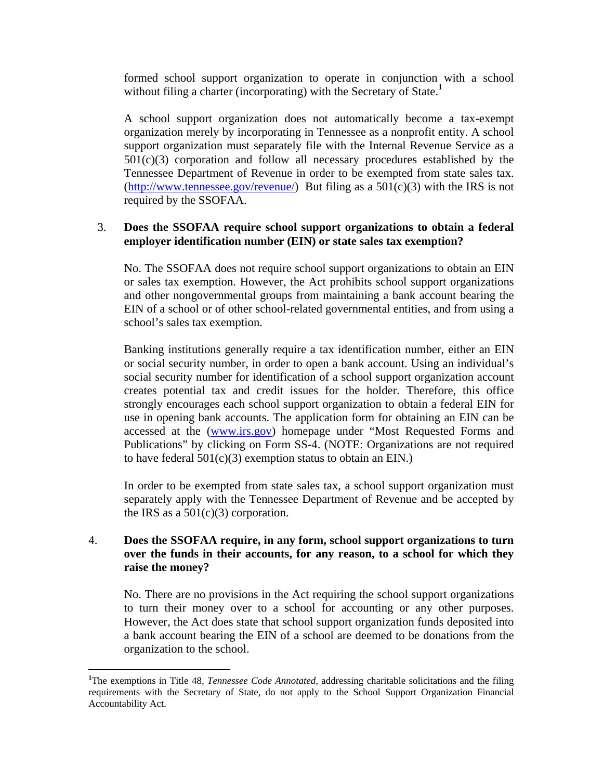formed school support organization to operate in conjunction with a school without filing a charter (incorporating) with the Secretary of State.**<sup>1</sup>** 

A school support organization does not automatically become a tax-exempt organization merely by incorporating in Tennessee as a nonprofit entity. A school support organization must separately file with the Internal Revenue Service as a  $501(c)(3)$  corporation and follow all necessary procedures established by the Tennessee Department of Revenue in order to be exempted from state sales tax.  $(\frac{http://www.tennessee.gov/revenue)}{http://www.tennessee.gov/revenue)}$  But filing as a 501(c)(3) with the IRS is not required by the SSOFAA.

# 3. **Does the SSOFAA require school support organizations to obtain a federal employer identification number (EIN) or state sales tax exemption?**

No. The SSOFAA does not require school support organizations to obtain an EIN or sales tax exemption. However, the Act prohibits school support organizations and other nongovernmental groups from maintaining a bank account bearing the EIN of a school or of other school-related governmental entities, and from using a school's sales tax exemption.

Banking institutions generally require a tax identification number, either an EIN or social security number, in order to open a bank account. Using an individual's social security number for identification of a school support organization account creates potential tax and credit issues for the holder. Therefore, this office strongly encourages each school support organization to obtain a federal EIN for use in opening bank accounts. The application form for obtaining an EIN can be accessed at the (www.irs.gov) homepage under "Most Requested Forms and Publications" by clicking on Form SS-4. (NOTE: Organizations are not required to have federal  $501(c)(3)$  exemption status to obtain an EIN.)

In order to be exempted from state sales tax, a school support organization must separately apply with the Tennessee Department of Revenue and be accepted by the IRS as a  $501(c)(3)$  corporation.

### 4. **Does the SSOFAA require, in any form, school support organizations to turn over the funds in their accounts, for any reason, to a school for which they raise the money?**

No. There are no provisions in the Act requiring the school support organizations to turn their money over to a school for accounting or any other purposes. However, the Act does state that school support organization funds deposited into a bank account bearing the EIN of a school are deemed to be donations from the organization to the school.

 $\overline{a}$ 

<sup>&</sup>lt;sup>1</sup>The exemptions in Title 48, *Tennessee Code Annotated*, addressing charitable solicitations and the filing requirements with the Secretary of State, do not apply to the School Support Organization Financial Accountability Act.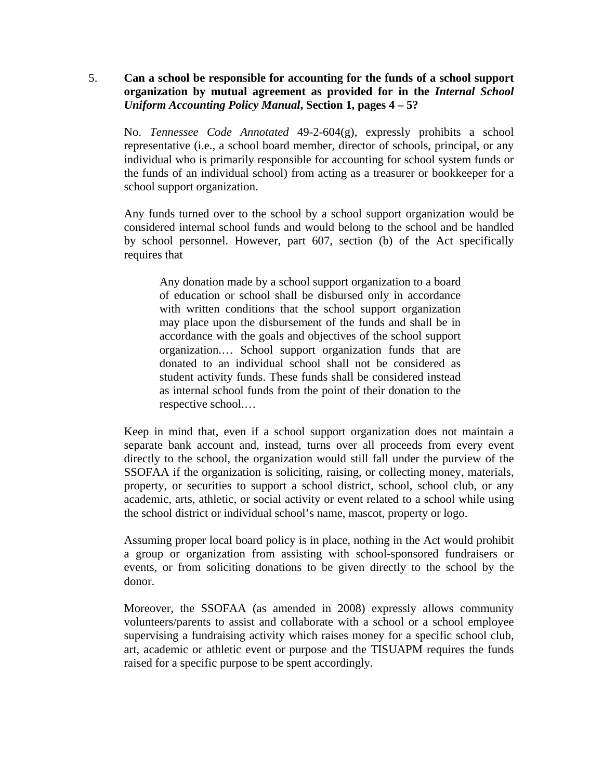# 5. **Can a school be responsible for accounting for the funds of a school support organization by mutual agreement as provided for in the** *Internal School Uniform Accounting Policy Manual***, Section 1, pages 4 – 5?**

No. *Tennessee Code Annotated* 49-2-604(g), expressly prohibits a school representative (i.e., a school board member, director of schools, principal, or any individual who is primarily responsible for accounting for school system funds or the funds of an individual school) from acting as a treasurer or bookkeeper for a school support organization.

Any funds turned over to the school by a school support organization would be considered internal school funds and would belong to the school and be handled by school personnel. However, part 607, section (b) of the Act specifically requires that

Any donation made by a school support organization to a board of education or school shall be disbursed only in accordance with written conditions that the school support organization may place upon the disbursement of the funds and shall be in accordance with the goals and objectives of the school support organization.… School support organization funds that are donated to an individual school shall not be considered as student activity funds. These funds shall be considered instead as internal school funds from the point of their donation to the respective school.…

Keep in mind that, even if a school support organization does not maintain a separate bank account and, instead, turns over all proceeds from every event directly to the school, the organization would still fall under the purview of the SSOFAA if the organization is soliciting, raising, or collecting money, materials, property, or securities to support a school district, school, school club, or any academic, arts, athletic, or social activity or event related to a school while using the school district or individual school's name, mascot, property or logo.

Assuming proper local board policy is in place, nothing in the Act would prohibit a group or organization from assisting with school-sponsored fundraisers or events, or from soliciting donations to be given directly to the school by the donor.

Moreover, the SSOFAA (as amended in 2008) expressly allows community volunteers/parents to assist and collaborate with a school or a school employee supervising a fundraising activity which raises money for a specific school club, art, academic or athletic event or purpose and the TISUAPM requires the funds raised for a specific purpose to be spent accordingly.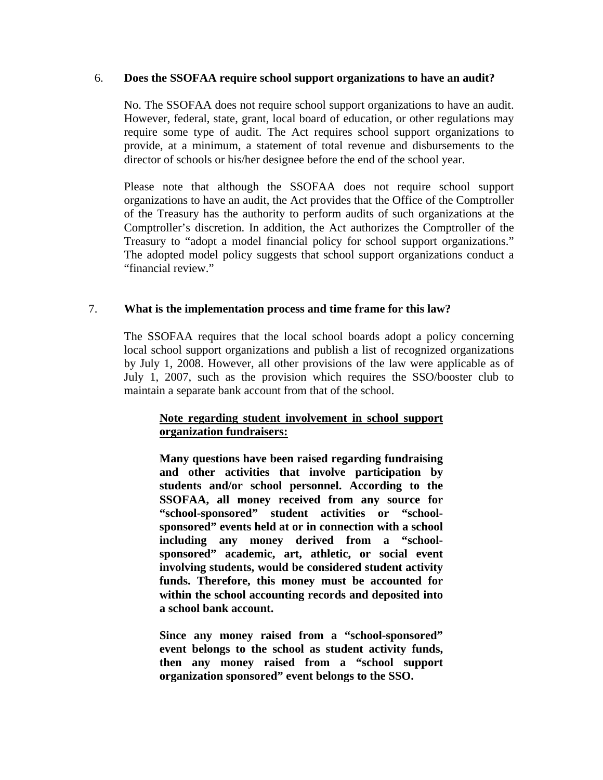### 6. **Does the SSOFAA require school support organizations to have an audit?**

No. The SSOFAA does not require school support organizations to have an audit. However, federal, state, grant, local board of education, or other regulations may require some type of audit. The Act requires school support organizations to provide, at a minimum, a statement of total revenue and disbursements to the director of schools or his/her designee before the end of the school year.

Please note that although the SSOFAA does not require school support organizations to have an audit, the Act provides that the Office of the Comptroller of the Treasury has the authority to perform audits of such organizations at the Comptroller's discretion. In addition, the Act authorizes the Comptroller of the Treasury to "adopt a model financial policy for school support organizations." The adopted model policy suggests that school support organizations conduct a "financial review."

### 7. **What is the implementation process and time frame for this law?**

The SSOFAA requires that the local school boards adopt a policy concerning local school support organizations and publish a list of recognized organizations by July 1, 2008. However, all other provisions of the law were applicable as of July 1, 2007, such as the provision which requires the SSO/booster club to maintain a separate bank account from that of the school.

# **Note regarding student involvement in school support organization fundraisers:**

**Many questions have been raised regarding fundraising and other activities that involve participation by students and/or school personnel. According to the SSOFAA, all money received from any source for "school-sponsored" student activities or "schoolsponsored" events held at or in connection with a school including any money derived from a "schoolsponsored" academic, art, athletic, or social event involving students, would be considered student activity funds. Therefore, this money must be accounted for within the school accounting records and deposited into a school bank account.** 

**Since any money raised from a "school-sponsored" event belongs to the school as student activity funds, then any money raised from a "school support organization sponsored" event belongs to the SSO.**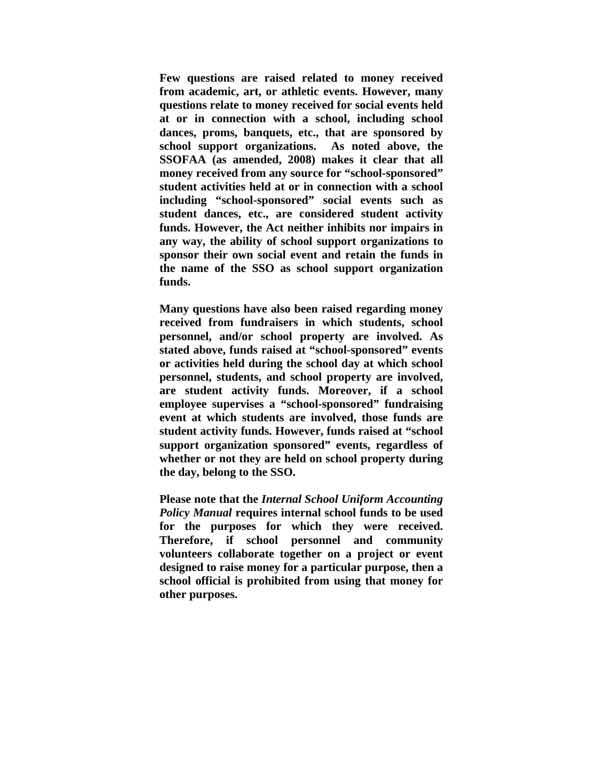**Few questions are raised related to money received from academic, art, or athletic events. However, many questions relate to money received for social events held at or in connection with a school, including school dances, proms, banquets, etc., that are sponsored by school support organizations. As noted above, the SSOFAA (as amended, 2008) makes it clear that all money received from any source for "school-sponsored" student activities held at or in connection with a school including "school-sponsored" social events such as student dances, etc., are considered student activity funds. However, the Act neither inhibits nor impairs in any way, the ability of school support organizations to sponsor their own social event and retain the funds in the name of the SSO as school support organization funds.** 

**Many questions have also been raised regarding money received from fundraisers in which students, school personnel, and/or school property are involved. As stated above, funds raised at "school-sponsored" events or activities held during the school day at which school personnel, students, and school property are involved, are student activity funds. Moreover, if a school employee supervises a "school-sponsored" fundraising event at which students are involved, those funds are student activity funds. However, funds raised at "school support organization sponsored" events, regardless of whether or not they are held on school property during the day, belong to the SSO.** 

**Please note that the** *Internal School Uniform Accounting Policy Manual* **requires internal school funds to be used for the purposes for which they were received. Therefore, if school personnel and community volunteers collaborate together on a project or event designed to raise money for a particular purpose, then a school official is prohibited from using that money for other purposes.**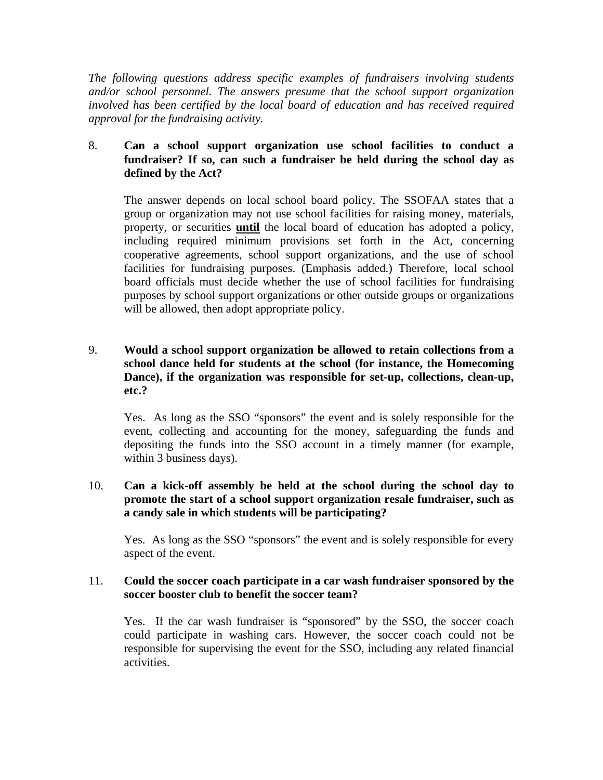*The following questions address specific examples of fundraisers involving students and/or school personnel. The answers presume that the school support organization involved has been certified by the local board of education and has received required approval for the fundraising activity.* 

# 8. **Can a school support organization use school facilities to conduct a fundraiser? If so, can such a fundraiser be held during the school day as defined by the Act?**

The answer depends on local school board policy. The SSOFAA states that a group or organization may not use school facilities for raising money, materials, property, or securities **until** the local board of education has adopted a policy, including required minimum provisions set forth in the Act, concerning cooperative agreements, school support organizations, and the use of school facilities for fundraising purposes. (Emphasis added.) Therefore, local school board officials must decide whether the use of school facilities for fundraising purposes by school support organizations or other outside groups or organizations will be allowed, then adopt appropriate policy.

# 9. **Would a school support organization be allowed to retain collections from a school dance held for students at the school (for instance, the Homecoming Dance), if the organization was responsible for set-up, collections, clean-up, etc.?**

Yes. As long as the SSO "sponsors" the event and is solely responsible for the event, collecting and accounting for the money, safeguarding the funds and depositing the funds into the SSO account in a timely manner (for example, within 3 business days).

# 10. **Can a kick-off assembly be held at the school during the school day to promote the start of a school support organization resale fundraiser, such as a candy sale in which students will be participating?**

Yes. As long as the SSO "sponsors" the event and is solely responsible for every aspect of the event.

# 11. **Could the soccer coach participate in a car wash fundraiser sponsored by the soccer booster club to benefit the soccer team?**

Yes. If the car wash fundraiser is "sponsored" by the SSO, the soccer coach could participate in washing cars. However, the soccer coach could not be responsible for supervising the event for the SSO, including any related financial activities.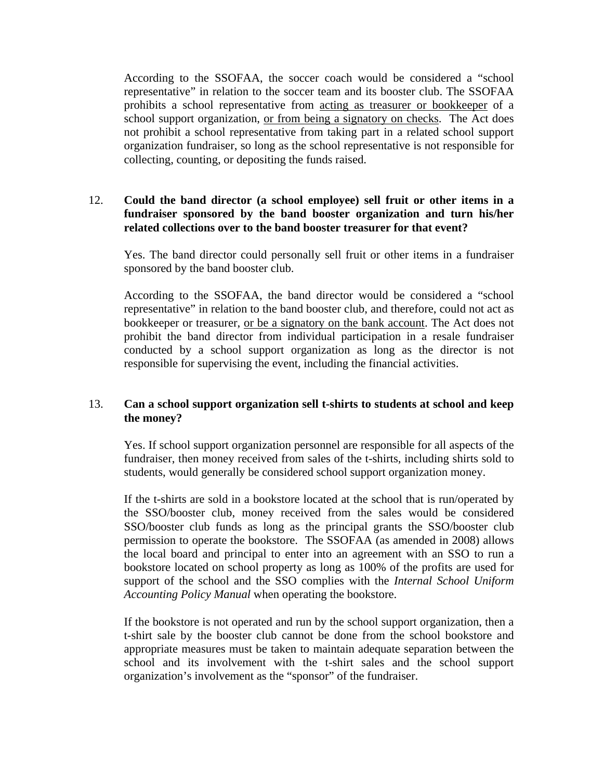According to the SSOFAA, the soccer coach would be considered a "school representative" in relation to the soccer team and its booster club. The SSOFAA prohibits a school representative from acting as treasurer or bookkeeper of a school support organization, <u>or from being a signatory on checks</u>. The Act does not prohibit a school representative from taking part in a related school support organization fundraiser, so long as the school representative is not responsible for collecting, counting, or depositing the funds raised.

# 12. **Could the band director (a school employee) sell fruit or other items in a fundraiser sponsored by the band booster organization and turn his/her related collections over to the band booster treasurer for that event?**

Yes. The band director could personally sell fruit or other items in a fundraiser sponsored by the band booster club.

According to the SSOFAA, the band director would be considered a "school representative" in relation to the band booster club, and therefore, could not act as bookkeeper or treasurer, or be a signatory on the bank account. The Act does not prohibit the band director from individual participation in a resale fundraiser conducted by a school support organization as long as the director is not responsible for supervising the event, including the financial activities.

### 13. **Can a school support organization sell t-shirts to students at school and keep the money?**

Yes. If school support organization personnel are responsible for all aspects of the fundraiser, then money received from sales of the t-shirts, including shirts sold to students, would generally be considered school support organization money.

If the t-shirts are sold in a bookstore located at the school that is run/operated by the SSO/booster club, money received from the sales would be considered SSO/booster club funds as long as the principal grants the SSO/booster club permission to operate the bookstore. The SSOFAA (as amended in 2008) allows the local board and principal to enter into an agreement with an SSO to run a bookstore located on school property as long as 100% of the profits are used for support of the school and the SSO complies with the *Internal School Uniform Accounting Policy Manual* when operating the bookstore.

If the bookstore is not operated and run by the school support organization, then a t-shirt sale by the booster club cannot be done from the school bookstore and appropriate measures must be taken to maintain adequate separation between the school and its involvement with the t-shirt sales and the school support organization's involvement as the "sponsor" of the fundraiser.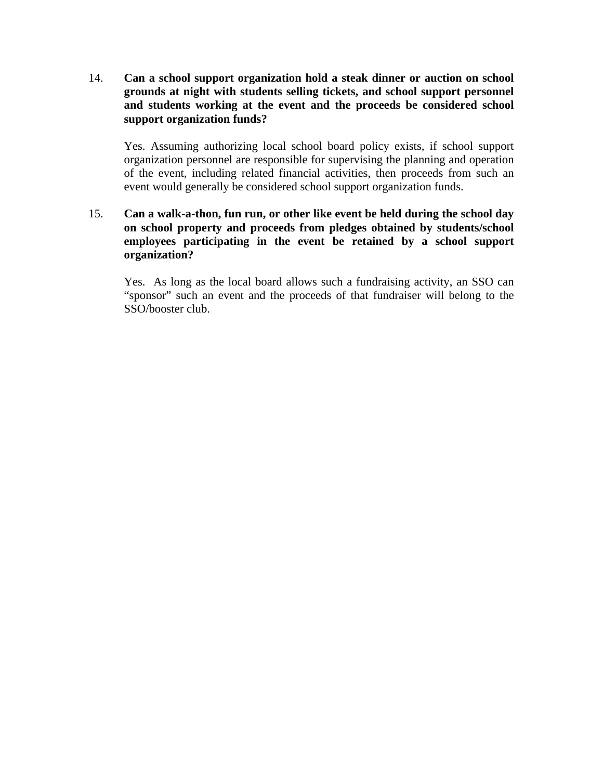14. **Can a school support organization hold a steak dinner or auction on school grounds at night with students selling tickets, and school support personnel and students working at the event and the proceeds be considered school support organization funds?** 

Yes. Assuming authorizing local school board policy exists, if school support organization personnel are responsible for supervising the planning and operation of the event, including related financial activities, then proceeds from such an event would generally be considered school support organization funds.

# 15. **Can a walk-a-thon, fun run, or other like event be held during the school day on school property and proceeds from pledges obtained by students/school employees participating in the event be retained by a school support organization?**

Yes. As long as the local board allows such a fundraising activity, an SSO can "sponsor" such an event and the proceeds of that fundraiser will belong to the SSO/booster club.